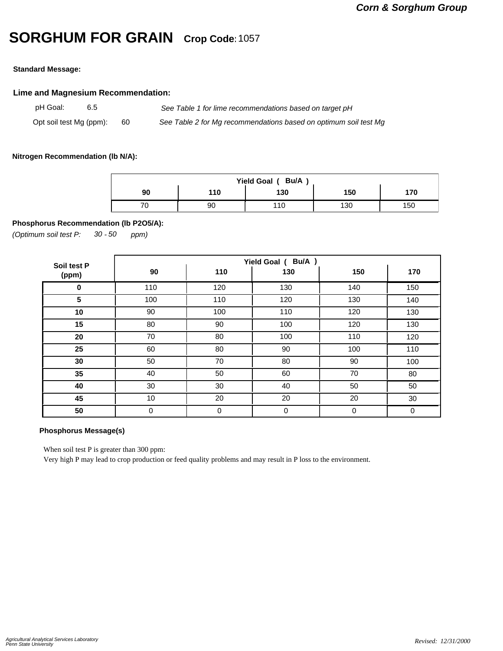# **SORGHUM FOR GRAIN Crop Code:**<sup>1057</sup>

### **Standard Message:**

## **Lime and Magnesium Recommendation:**

pH Goal: 6.5 *See Table 1 for lime recommendations based on target pH* Opt soil test Mg (ppm): 60 *See Table 2 for Mg recommendations based on optimum soil test Mg*

### **Nitrogen Recommendation (lb N/A):**

| Bu/A<br>Yield Goal ( |     |     |     |     |  |  |  |  |
|----------------------|-----|-----|-----|-----|--|--|--|--|
| 90                   | 110 | 130 | 150 | 170 |  |  |  |  |
|                      | 90  |     | 130 | 150 |  |  |  |  |

## **Phosphorus Recommendation (lb P2O5/A):**

*(Optimum soil test P: 30 ppm) - 50*

| Soil test P | Yield Goal ( Bu/A ) |     |     |     |     |  |  |
|-------------|---------------------|-----|-----|-----|-----|--|--|
| (ppm)       | 90                  | 110 | 130 | 150 | 170 |  |  |
| 0           | 110                 | 120 | 130 | 140 | 150 |  |  |
| 5           | 100                 | 110 | 120 | 130 | 140 |  |  |
| 10          | 90                  | 100 | 110 | 120 | 130 |  |  |
| 15          | 80                  | 90  | 100 | 120 | 130 |  |  |
| 20          | 70                  | 80  | 100 | 110 | 120 |  |  |
| 25          | 60                  | 80  | 90  | 100 | 110 |  |  |
| 30          | 50                  | 70  | 80  | 90  | 100 |  |  |
| 35          | 40                  | 50  | 60  | 70  | 80  |  |  |
| 40          | 30                  | 30  | 40  | 50  | 50  |  |  |
| 45          | 10                  | 20  | 20  | 20  | 30  |  |  |
| 50          | 0                   | 0   | 0   | 0   | 0   |  |  |

#### **Phosphorus Message(s)**

When soil test P is greater than 300 ppm:

Very high P may lead to crop production or feed quality problems and may result in P loss to the environment.